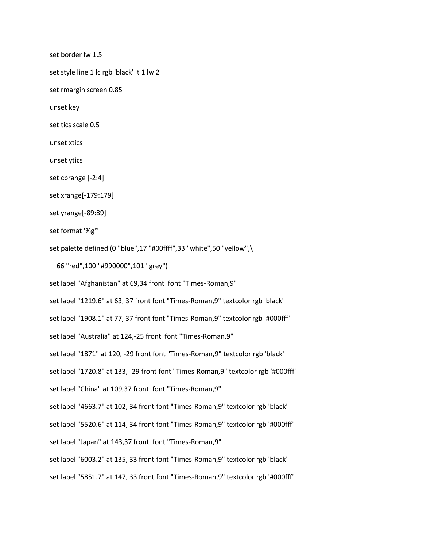set border lw 1.5

set style line 1 lc rgb 'black' lt 1 lw 2

set rmargin screen 0.85

unset key

set tics scale 0.5

unset xtics

unset ytics

set cbrange [-2:4]

set xrange[-179:179]

set yrange[-89:89]

set format '%g°'

set palette defined (0 "blue",17 "#00ffff",33 "white",50 "yellow",\

```
 66 "red",100 "#990000",101 "grey")
```
set label "Afghanistan" at 69,34 front font "Times-Roman,9"

set label "1219.6" at 63, 37 front font "Times-Roman,9" textcolor rgb 'black'

set label "1908.1" at 77, 37 front font "Times-Roman,9" textcolor rgb '#000fff'

set label "Australia" at 124,-25 front font "Times-Roman,9"

set label "1871" at 120, -29 front font "Times-Roman,9" textcolor rgb 'black'

set label "1720.8" at 133, -29 front font "Times-Roman,9" textcolor rgb '#000fff'

set label "China" at 109,37 front font "Times-Roman,9"

set label "4663.7" at 102, 34 front font "Times-Roman,9" textcolor rgb 'black'

set label "5520.6" at 114, 34 front font "Times-Roman,9" textcolor rgb '#000fff'

set label "Japan" at 143,37 front font "Times-Roman,9"

set label "6003.2" at 135, 33 front font "Times-Roman,9" textcolor rgb 'black'

set label "5851.7" at 147, 33 front font "Times-Roman,9" textcolor rgb '#000fff'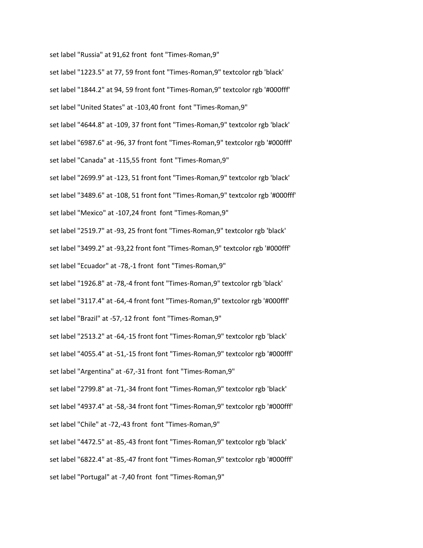set label "Russia" at 91,62 front font "Times-Roman,9"

set label "1223.5" at 77, 59 front font "Times-Roman,9" textcolor rgb 'black' set label "1844.2" at 94, 59 front font "Times-Roman,9" textcolor rgb '#000fff' set label "United States" at -103,40 front font "Times-Roman,9" set label "4644.8" at -109, 37 front font "Times-Roman,9" textcolor rgb 'black' set label "6987.6" at -96, 37 front font "Times-Roman,9" textcolor rgb '#000fff' set label "Canada" at -115,55 front font "Times-Roman,9" set label "2699.9" at -123, 51 front font "Times-Roman,9" textcolor rgb 'black' set label "3489.6" at -108, 51 front font "Times-Roman,9" textcolor rgb '#000fff' set label "Mexico" at -107,24 front font "Times-Roman,9" set label "2519.7" at -93, 25 front font "Times-Roman,9" textcolor rgb 'black' set label "3499.2" at -93,22 front font "Times-Roman,9" textcolor rgb '#000fff' set label "Ecuador" at -78,-1 front font "Times-Roman,9" set label "1926.8" at -78,-4 front font "Times-Roman,9" textcolor rgb 'black' set label "3117.4" at -64,-4 front font "Times-Roman,9" textcolor rgb '#000fff' set label "Brazil" at -57,-12 front font "Times-Roman,9" set label "2513.2" at -64,-15 front font "Times-Roman,9" textcolor rgb 'black' set label "4055.4" at -51,-15 front font "Times-Roman,9" textcolor rgb '#000fff' set label "Argentina" at -67,-31 front font "Times-Roman,9" set label "2799.8" at -71,-34 front font "Times-Roman,9" textcolor rgb 'black' set label "4937.4" at -58,-34 front font "Times-Roman,9" textcolor rgb '#000fff' set label "Chile" at -72,-43 front font "Times-Roman,9" set label "4472.5" at -85,-43 front font "Times-Roman,9" textcolor rgb 'black' set label "6822.4" at -85,-47 front font "Times-Roman,9" textcolor rgb '#000fff' set label "Portugal" at -7,40 front font "Times-Roman,9"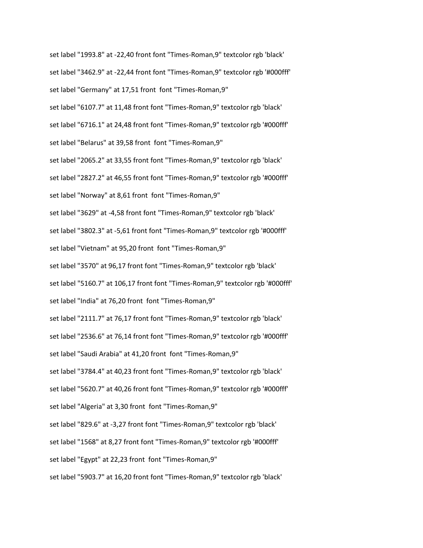set label "1993.8" at -22,40 front font "Times-Roman,9" textcolor rgb 'black' set label "3462.9" at -22,44 front font "Times-Roman,9" textcolor rgb '#000fff' set label "Germany" at 17,51 front font "Times-Roman,9" set label "6107.7" at 11,48 front font "Times-Roman,9" textcolor rgb 'black' set label "6716.1" at 24,48 front font "Times-Roman,9" textcolor rgb '#000fff' set label "Belarus" at 39,58 front font "Times-Roman,9" set label "2065.2" at 33,55 front font "Times-Roman,9" textcolor rgb 'black' set label "2827.2" at 46,55 front font "Times-Roman,9" textcolor rgb '#000fff' set label "Norway" at 8,61 front font "Times-Roman,9" set label "3629" at -4,58 front font "Times-Roman,9" textcolor rgb 'black' set label "3802.3" at -5,61 front font "Times-Roman,9" textcolor rgb '#000fff' set label "Vietnam" at 95,20 front font "Times-Roman,9" set label "3570" at 96,17 front font "Times-Roman,9" textcolor rgb 'black' set label "5160.7" at 106,17 front font "Times-Roman,9" textcolor rgb '#000fff' set label "India" at 76,20 front font "Times-Roman,9" set label "2111.7" at 76,17 front font "Times-Roman,9" textcolor rgb 'black' set label "2536.6" at 76,14 front font "Times-Roman,9" textcolor rgb '#000fff' set label "Saudi Arabia" at 41,20 front font "Times-Roman,9" set label "3784.4" at 40,23 front font "Times-Roman,9" textcolor rgb 'black' set label "5620.7" at 40,26 front font "Times-Roman,9" textcolor rgb '#000fff' set label "Algeria" at 3,30 front font "Times-Roman,9" set label "829.6" at -3,27 front font "Times-Roman,9" textcolor rgb 'black' set label "1568" at 8,27 front font "Times-Roman,9" textcolor rgb '#000fff' set label "Egypt" at 22,23 front font "Times-Roman,9" set label "5903.7" at 16,20 front font "Times-Roman,9" textcolor rgb 'black'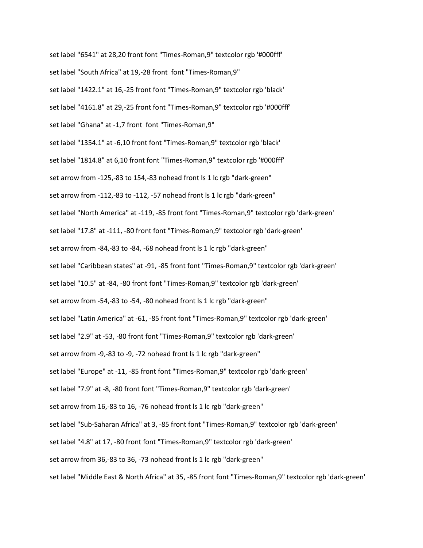set label "6541" at 28,20 front font "Times-Roman,9" textcolor rgb '#000fff' set label "South Africa" at 19,-28 front font "Times-Roman,9" set label "1422.1" at 16,-25 front font "Times-Roman,9" textcolor rgb 'black' set label "4161.8" at 29,-25 front font "Times-Roman,9" textcolor rgb '#000fff' set label "Ghana" at -1,7 front font "Times-Roman,9" set label "1354.1" at -6,10 front font "Times-Roman,9" textcolor rgb 'black' set label "1814.8" at 6,10 front font "Times-Roman,9" textcolor rgb '#000fff' set arrow from -125,-83 to 154,-83 nohead front ls 1 lc rgb "dark-green" set arrow from -112,-83 to -112, -57 nohead front ls 1 lc rgb "dark-green" set label "North America" at -119, -85 front font "Times-Roman,9" textcolor rgb 'dark-green' set label "17.8" at -111, -80 front font "Times-Roman,9" textcolor rgb 'dark-green' set arrow from -84,-83 to -84, -68 nohead front ls 1 lc rgb "dark-green" set label "Caribbean states" at -91, -85 front font "Times-Roman,9" textcolor rgb 'dark-green' set label "10.5" at -84, -80 front font "Times-Roman,9" textcolor rgb 'dark-green' set arrow from -54,-83 to -54, -80 nohead front ls 1 lc rgb "dark-green" set label "Latin America" at -61, -85 front font "Times-Roman,9" textcolor rgb 'dark-green' set label "2.9" at -53, -80 front font "Times-Roman,9" textcolor rgb 'dark-green' set arrow from -9,-83 to -9, -72 nohead front ls 1 lc rgb "dark-green" set label "Europe" at -11, -85 front font "Times-Roman,9" textcolor rgb 'dark-green' set label "7.9" at -8, -80 front font "Times-Roman,9" textcolor rgb 'dark-green' set arrow from 16,-83 to 16, -76 nohead front ls 1 lc rgb "dark-green" set label "Sub-Saharan Africa" at 3, -85 front font "Times-Roman,9" textcolor rgb 'dark-green' set label "4.8" at 17, -80 front font "Times-Roman,9" textcolor rgb 'dark-green' set arrow from 36,-83 to 36, -73 nohead front ls 1 lc rgb "dark-green" set label "Middle East & North Africa" at 35, -85 front font "Times-Roman,9" textcolor rgb 'dark-green'